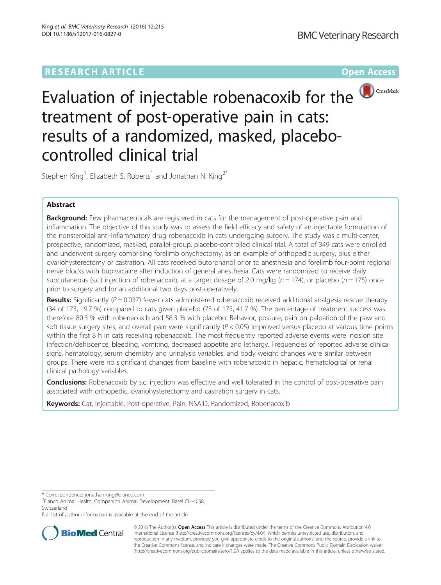# **RESEARCH ARTICLE Example 2014 12:30 The Contract of Contract ACCESS**



Evaluation of injectable robenacoxib for the **D**CrossMark treatment of post-operative pain in cats: results of a randomized, masked, placebocontrolled clinical trial

Stephen King<sup>1</sup>, Elizabeth S. Roberts<sup>1</sup> and Jonathan N. King<sup>2\*</sup>

## Abstract

Background: Few pharmaceuticals are registered in cats for the management of post-operative pain and inflammation. The objective of this study was to assess the field efficacy and safety of an injectable formulation of the nonsteroidal anti-inflammatory drug robenacoxib in cats undergoing surgery. The study was a multi-center, prospective, randomized, masked, parallel-group, placebo-controlled clinical trial. A total of 349 cats were enrolled and underwent surgery comprising forelimb onychectomy, as an example of orthopedic surgery, plus either ovariohysterectomy or castration. All cats received butorphanol prior to anesthesia and forelimb four-point regional nerve blocks with bupivacaine after induction of general anesthesia. Cats were randomized to receive daily subcutaneous (s.c.) injection of robenacoxib, at a target dosage of 2.0 mg/kg ( $n = 174$ ), or placebo ( $n = 175$ ) once prior to surgery and for an additional two days post-operatively.

**Results:** Significantly ( $P = 0.037$ ) fewer cats administered robenacoxib received additional analgesia rescue therapy (34 of 173, 19.7 %) compared to cats given placebo (73 of 175, 41.7 %). The percentage of treatment success was therefore 80.3 % with robenacoxib and 58.3 % with placebo. Behavior, posture, pain on palpation of the paw and soft tissue surgery sites, and overall pain were significantly  $(P < 0.05)$  improved versus placebo at various time points within the first 8 h in cats receiving robenacoxib. The most frequently reported adverse events were incision site infection/dehiscence, bleeding, vomiting, decreased appetite and lethargy. Frequencies of reported adverse clinical signs, hematology, serum chemistry and urinalysis variables, and body weight changes were similar between groups. There were no significant changes from baseline with robenacoxib in hepatic, hematological or renal clinical pathology variables.

**Conclusions:** Robenacoxib by s.c. injection was effective and well tolerated in the control of post-operative pain associated with orthopedic, ovariohysterectomy and castration surgery in cats.

Keywords: Cat, Injectable, Post-operative, Pain, NSAID, Randomized, Robenacoxib

Full list of author information is available at the end of the article



© 2016 The Author(s). Open Access This article is distributed under the terms of the Creative Commons Attribution 4.0 International License [\(http://creativecommons.org/licenses/by/4.0/](http://creativecommons.org/licenses/by/4.0/)), which permits unrestricted use, distribution, and reproduction in any medium, provided you give appropriate credit to the original author(s) and the source, provide a link to the Creative Commons license, and indicate if changes were made. The Creative Commons Public Domain Dedication waiver [\(http://creativecommons.org/publicdomain/zero/1.0/](http://creativecommons.org/publicdomain/zero/1.0/)) applies to the data made available in this article, unless otherwise stated.

<sup>\*</sup> Correspondence: [jonathan.king@elanco.com](mailto:jonathan.king@elanco.com) <sup>2</sup>

<sup>&</sup>lt;sup>2</sup>Elanco Animal Health, Companion Animal Development, Basel CH-4058, **Switzerland**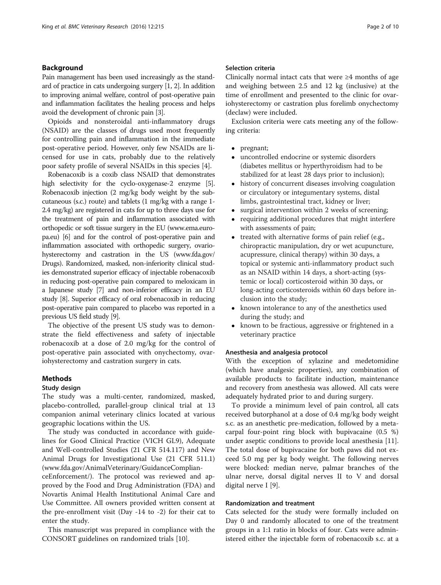## Background

Pain management has been used increasingly as the standard of practice in cats undergoing surgery [\[1](#page-9-0), [2\]](#page-9-0). In addition to improving animal welfare, control of post-operative pain and inflammation facilitates the healing process and helps avoid the development of chronic pain [\[3\]](#page-9-0).

Opioids and nonsteroidal anti-inflammatory drugs (NSAID) are the classes of drugs used most frequently for controlling pain and inflammation in the immediate post-operative period. However, only few NSAIDs are licensed for use in cats, probably due to the relatively poor safety profile of several NSAIDs in this species [[4\]](#page-9-0).

Robenacoxib is a coxib class NSAID that demonstrates high selectivity for the cyclo-oxygenase-2 enzyme [[5](#page-9-0)]. Robenacoxib injection (2 mg/kg body weight by the subcutaneous (s.c.) route) and tablets (1 mg/kg with a range 1- 2.4 mg/kg) are registered in cats for up to three days use for the treatment of pain and inflammation associated with orthopedic or soft tissue surgery in the EU [\(www.ema.euro](http://www.ema.europa.eu/)[pa.eu](http://www.ema.europa.eu/)) [\[6](#page-9-0)] and for the control of post-operative pain and inflammation associated with orthopedic surgery, ovariohysterectomy and castration in the US ([www.fda.gov/](http://www.fda.gov/Drugs) [Drugs](http://www.fda.gov/Drugs)). Randomized, masked, non-inferiority clinical studies demonstrated superior efficacy of injectable robenacoxib in reducing post-operative pain compared to meloxicam in a Japanese study [\[7\]](#page-9-0) and non-inferior efficacy in an EU study [\[8](#page-9-0)]. Superior efficacy of oral robenacoxib in reducing post-operative pain compared to placebo was reported in a previous US field study [[9](#page-9-0)].

The objective of the present US study was to demonstrate the field effectiveness and safety of injectable robenacoxib at a dose of 2.0 mg/kg for the control of post-operative pain associated with onychectomy, ovariohysterectomy and castration surgery in cats.

## **Methods**

#### Study design

The study was a multi-center, randomized, masked, placebo-controlled, parallel-group clinical trial at 13 companion animal veterinary clinics located at various geographic locations within the US.

The study was conducted in accordance with guidelines for Good Clinical Practice (VICH GL9), Adequate and Well-controlled Studies (21 CFR 514.117) and New Animal Drugs for Investigational Use (21 CFR 511.1) ([www.fda.gov/AnimalVeterinary/GuidanceComplian-](http://www.fda.gov/AnimalVeterinary/GuidanceComplianceEnforcement/)

[ceEnforcement/\)](http://www.fda.gov/AnimalVeterinary/GuidanceComplianceEnforcement/). The protocol was reviewed and approved by the Food and Drug Administration (FDA) and Novartis Animal Health Institutional Animal Care and Use Committee. All owners provided written consent at the pre-enrollment visit (Day -14 to -2) for their cat to enter the study.

This manuscript was prepared in compliance with the CONSORT guidelines on randomized trials [[10\]](#page-9-0).

## Selection criteria

Clinically normal intact cats that were  $\geq 4$  months of age and weighing between 2.5 and 12 kg (inclusive) at the time of enrollment and presented to the clinic for ovariohysterectomy or castration plus forelimb onychectomy (declaw) were included.

Exclusion criteria were cats meeting any of the following criteria:

- pregnant;
- uncontrolled endocrine or systemic disorders (diabetes mellitus or hyperthyroidism had to be stabilized for at least 28 days prior to inclusion);
- history of concurrent diseases involving coagulation or circulatory or integumentary systems, distal limbs, gastrointestinal tract, kidney or liver;
- surgical intervention within 2 weeks of screening;
- requiring additional procedures that might interfere with assessments of pain;
- treated with alternative forms of pain relief (e.g., chiropractic manipulation, dry or wet acupuncture, acupressure, clinical therapy) within 30 days, a topical or systemic anti-inflammatory product such as an NSAID within 14 days, a short-acting (systemic or local) corticosteroid within 30 days, or long-acting corticosteroids within 60 days before inclusion into the study;
- known intolerance to any of the anesthetics used during the study; and
- known to be fractious, aggressive or frightened in a veterinary practice

#### Anesthesia and analgesia protocol

With the exception of xylazine and medetomidine (which have analgesic properties), any combination of available products to facilitate induction, maintenance and recovery from anesthesia was allowed. All cats were adequately hydrated prior to and during surgery.

To provide a minimum level of pain control, all cats received butorphanol at a dose of 0.4 mg/kg body weight s.c. as an anesthetic pre-medication, followed by a metacarpal four-point ring block with bupivacaine (0.5 %) under aseptic conditions to provide local anesthesia [\[11](#page-9-0)]. The total dose of bupivacaine for both paws did not exceed 5.0 mg per kg body weight. The following nerves were blocked: median nerve, palmar branches of the ulnar nerve, dorsal digital nerves II to V and dorsal digital nerve I [[9\]](#page-9-0).

### Randomization and treatment

Cats selected for the study were formally included on Day 0 and randomly allocated to one of the treatment groups in a 1:1 ratio in blocks of four. Cats were administered either the injectable form of robenacoxib s.c. at a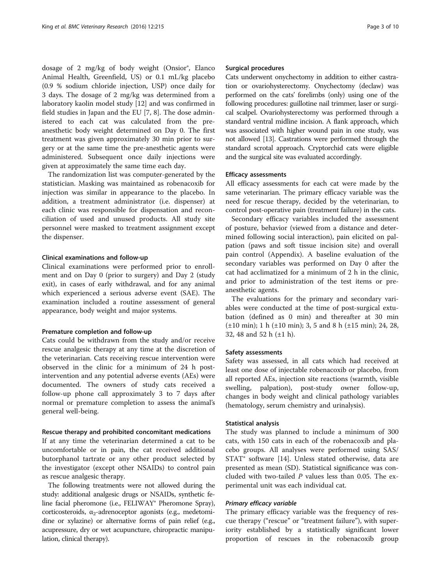dosage of 2 mg/kg of body weight (Onsior®, Elanco Animal Health, Greenfield, US) or 0.1 mL/kg placebo (0.9 % sodium chloride injection, USP) once daily for 3 days. The dosage of 2 mg/kg was determined from a laboratory kaolin model study [[12](#page-9-0)] and was confirmed in field studies in Japan and the EU [\[7](#page-9-0), [8](#page-9-0)]. The dose administered to each cat was calculated from the preanesthetic body weight determined on Day 0. The first treatment was given approximately 30 min prior to surgery or at the same time the pre-anesthetic agents were administered. Subsequent once daily injections were given at approximately the same time each day.

The randomization list was computer-generated by the statistician. Masking was maintained as robenacoxib for injection was similar in appearance to the placebo. In addition, a treatment administrator (i.e. dispenser) at each clinic was responsible for dispensation and reconciliation of used and unused products. All study site personnel were masked to treatment assignment except the dispenser.

### Clinical examinations and follow-up

Clinical examinations were performed prior to enrollment and on Day 0 (prior to surgery) and Day 2 (study exit), in cases of early withdrawal, and for any animal which experienced a serious adverse event (SAE). The examination included a routine assessment of general appearance, body weight and major systems.

#### Premature completion and follow-up

Cats could be withdrawn from the study and/or receive rescue analgesic therapy at any time at the discretion of the veterinarian. Cats receiving rescue intervention were observed in the clinic for a minimum of 24 h postintervention and any potential adverse events (AEs) were documented. The owners of study cats received a follow-up phone call approximately 3 to 7 days after normal or premature completion to assess the animal's general well-being.

#### Rescue therapy and prohibited concomitant medications

If at any time the veterinarian determined a cat to be uncomfortable or in pain, the cat received additional butorphanol tartrate or any other product selected by the investigator (except other NSAIDs) to control pain as rescue analgesic therapy.

The following treatments were not allowed during the study: additional analgesic drugs or NSAIDs, synthetic feline facial pheromone (i.e., FELIWAY® Pheromone Spray), corticosteroids,  $\alpha_2$ -adrenoceptor agonists (e.g., medetomidine or xylazine) or alternative forms of pain relief (e.g., acupressure, dry or wet acupuncture, chiropractic manipulation, clinical therapy).

#### Surgical procedures

Cats underwent onychectomy in addition to either castration or ovariohysterectomy. Onychectomy (declaw) was performed on the cats' forelimbs (only) using one of the following procedures: guillotine nail trimmer, laser or surgical scalpel. Ovariohysterectomy was performed through a standard ventral midline incision. A flank approach, which was associated with higher wound pain in one study, was not allowed [\[13](#page-9-0)]. Castrations were performed through the standard scrotal approach. Cryptorchid cats were eligible and the surgical site was evaluated accordingly.

#### Efficacy assessments

All efficacy assessments for each cat were made by the same veterinarian. The primary efficacy variable was the need for rescue therapy, decided by the veterinarian, to control post-operative pain (treatment failure) in the cats.

Secondary efficacy variables included the assessment of posture, behavior (viewed from a distance and determined following social interaction), pain elicited on palpation (paws and soft tissue incision site) and overall pain control [\(Appendix](#page-8-0)). A baseline evaluation of the secondary variables was performed on Day 0 after the cat had acclimatized for a minimum of 2 h in the clinic, and prior to administration of the test items or preanesthetic agents.

The evaluations for the primary and secondary variables were conducted at the time of post-surgical extubation (defined as 0 min) and thereafter at 30 min (±10 min); 1 h (±10 min); 3, 5 and 8 h (±15 min); 24, 28, 32, 48 and 52 h (±1 h).

#### Safety assessments

Safety was assessed, in all cats which had received at least one dose of injectable robenacoxib or placebo, from all reported AEs, injection site reactions (warmth, visible swelling, palpation), post-study owner follow-up, changes in body weight and clinical pathology variables (hematology, serum chemistry and urinalysis).

## Statistical analysis

The study was planned to include a minimum of 300 cats, with 150 cats in each of the robenacoxib and placebo groups. All analyses were performed using SAS/ STAT® software [\[14\]](#page-9-0). Unless stated otherwise, data are presented as mean (SD). Statistical significance was concluded with two-tailed  $P$  values less than 0.05. The experimental unit was each individual cat.

### Primary efficacy variable

The primary efficacy variable was the frequency of rescue therapy ("rescue" or "treatment failure"), with superiority established by a statistically significant lower proportion of rescues in the robenacoxib group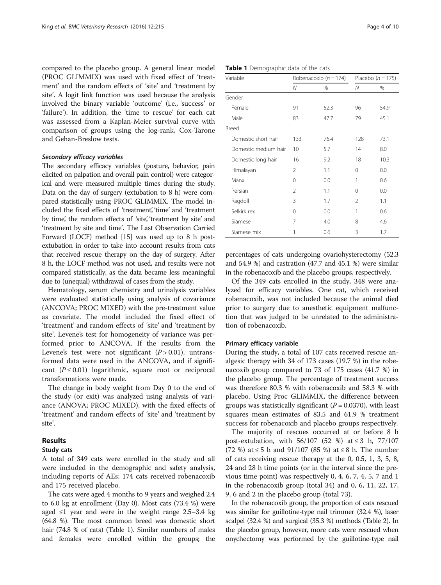compared to the placebo group. A general linear model (PROC GLIMMIX) was used with fixed effect of 'treatment' and the random effects of 'site' and 'treatment by site'. A logit link function was used because the analysis involved the binary variable 'outcome' (i.e., 'success' or 'failure'). In addition, the 'time to rescue' for each cat was assessed from a Kaplan-Meier survival curve with comparison of groups using the log-rank, Cox-Tarone and Gehan-Breslow tests.

#### Secondary efficacy variables

The secondary efficacy variables (posture, behavior, pain elicited on palpation and overall pain control) were categorical and were measured multiple times during the study. Data on the day of surgery (extubation to 8 h) were compared statistically using PROC GLIMMIX. The model included the fixed effects of 'treatment,' 'time' and 'treatment by time, the random effects of 'site,' treatment by site' and 'treatment by site and time'. The Last Observation Carried Forward (LOCF) method [\[15\]](#page-9-0) was used up to 8 h postextubation in order to take into account results from cats that received rescue therapy on the day of surgery. After 8 h, the LOCF method was not used, and results were not compared statistically, as the data became less meaningful due to (unequal) withdrawal of cases from the study.

Hematology, serum chemistry and urinalysis variables were evaluated statistically using analysis of covariance (ANCOVA; PROC MIXED) with the pre-treatment value as covariate. The model included the fixed effect of 'treatment' and random effects of 'site' and 'treatment by site'. Levene's test for homogeneity of variance was performed prior to ANCOVA. If the results from the Levene's test were not significant  $(P > 0.01)$ , untransformed data were used in the ANCOVA, and if significant  $(P \le 0.01)$  logarithmic, square root or reciprocal transformations were made.

The change in body weight from Day 0 to the end of the study (or exit) was analyzed using analysis of variance (ANOVA; PROC MIXED), with the fixed effects of 'treatment' and random effects of 'site' and 'treatment by site'.

## Results

## Study cats

A total of 349 cats were enrolled in the study and all were included in the demographic and safety analysis, including reports of AEs: 174 cats received robenacoxib and 175 received placebo.

The cats were aged 4 months to 9 years and weighed 2.4 to 6.0 kg at enrollment (Day 0). Most cats (73.4 %) were aged ≤1 year and were in the weight range  $2.5-3.4$  kg (64.8 %). The most common breed was domestic short hair (74.8 % of cats) (Table 1). Similar numbers of males and females were enrolled within the groups; the

| Variable             |          | Robenacoxib ( $n = 174$ ) | Placebo $(n = 175)$ |      |  |
|----------------------|----------|---------------------------|---------------------|------|--|
|                      | N        | %                         | Ν                   | %    |  |
| Gender               |          |                           |                     |      |  |
| Female               | 91       | 52.3                      | 96                  | 54.9 |  |
| Male                 | 83       | 47.7                      | 79                  | 45.1 |  |
| Breed                |          |                           |                     |      |  |
| Domestic short hair  | 133      | 76.4                      | 128                 | 73.1 |  |
| Domestic medium hair | 10       | 5.7                       | 14                  | 8.0  |  |
| Domestic long hair   | 16       | 9.2                       | 18                  | 10.3 |  |
| Himalayan            | 2        | 1.1                       | 0                   | 0.0  |  |
| Manx                 | $\Omega$ | 0.0                       | 1                   | 0.6  |  |
| Persian              | 2        | 1.1                       | 0                   | 0.0  |  |
| Ragdoll              | 3        | 1.7                       | 2                   | 1.1  |  |
| Selkirk rex          | $\Omega$ | 0.0                       | 1                   | 0.6  |  |
| Siamese              | 7        | 4.0                       | 8                   | 4.6  |  |
| Siamese mix          | 1        | 0.6                       | 3                   | 1.7  |  |
|                      |          |                           |                     |      |  |

percentages of cats undergoing ovariohysterectomy (52.3 and 54.9 %) and castration (47.7 and 45.1 %) were similar in the robenacoxib and the placebo groups, respectively.

Of the 349 cats enrolled in the study, 348 were analyzed for efficacy variables. One cat, which received robenacoxib, was not included because the animal died prior to surgery due to anesthetic equipment malfunction that was judged to be unrelated to the administration of robenacoxib.

#### Primary efficacy variable

During the study, a total of 107 cats received rescue analgesic therapy with 34 of 173 cases (19.7 %) in the robenacoxib group compared to 73 of 175 cases (41.7 %) in the placebo group. The percentage of treatment success was therefore 80.3 % with robenacoxib and 58.3 % with placebo. Using Proc GLIMMIX, the difference between groups was statistically significant ( $P = 0.0370$ ), with least squares mean estimates of 83.5 and 61.9 % treatment success for robenacoxib and placebo groups respectively.

The majority of rescues occurred at or before 8 h post-extubation, with  $56/107$  (52 %) at ≤ 3 h, 77/107 (72 %) at ≤ 5 h and 91/107 (85 %) at ≤ 8 h. The number of cats receiving rescue therapy at the 0, 0.5, 1, 3, 5, 8, 24 and 28 h time points (or in the interval since the previous time point) was respectively 0, 4, 6, 7, 4, 5, 7 and 1 in the robenacoxib group (total 34) and 0, 6, 11, 22, 17, 9, 6 and 2 in the placebo group (total 73).

In the robenacoxib group, the proportion of cats rescued was similar for guillotine-type nail trimmer (32.4 %), laser scalpel (32.4 %) and surgical (35.3 %) methods (Table [2](#page-4-0)). In the placebo group, however, more cats were rescued when onychectomy was performed by the guillotine-type nail

Table 1 Demographic data of the cats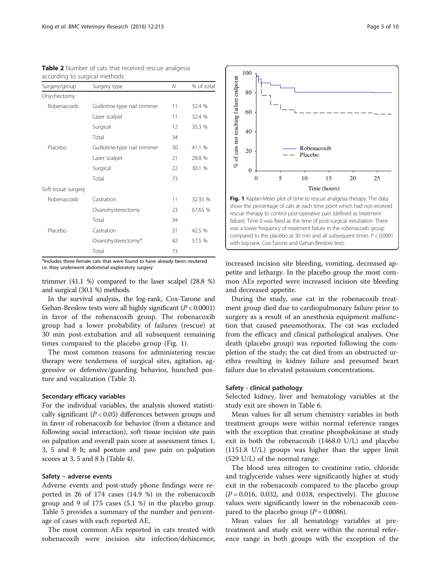| Surgery/group       | N                               | % of total |         |
|---------------------|---------------------------------|------------|---------|
| Onychectomy         |                                 |            |         |
| Robenacoxib         | Guillotine-type nail trimmer    | 11         | 32.4 %  |
|                     | Laser scalpel                   | 11         | 32.4 %  |
|                     | Surgical                        | 12         | 35.3 %  |
|                     | Total                           | 34         |         |
| Placebo             | Guillotine-type nail trimmer    | 30         | 41.1 %  |
|                     | Laser scalpel                   | 21         | 28.8 %  |
|                     | Surgical                        | 22         | 30.1 %  |
|                     | Total                           | 73         |         |
| Soft tissue surgery |                                 |            |         |
| Robenacoxib         | Castration                      | 11         | 32.35 % |
|                     | Ovariohysterectomy              | 23         | 67.65 % |
|                     | Total                           | 34         |         |
| Placebo             | Castration                      | 31         | 42.5 %  |
|                     | Ovariohysterectomy <sup>a</sup> | 42         | 57.5 %  |
|                     | Total                           | 73         |         |

<span id="page-4-0"></span>Table 2 Number of cats that received rescue analgesia according to surgical methods

<sup>a</sup>Includes three female cats that were found to have already been neutered i.e. they underwent abdominal exploratory surgery

trimmer (41.1 %) compared to the laser scalpel (28.8 %) and surgical (30.1 %) methods.

In the survival analysis, the log-rank, Cox-Tarone and Gehan-Breslow tests were all highly significant  $(P < 0.0001)$ in favor of the robenacoxib group. The robenacoxib group had a lower probability of failures (rescue) at 30 min post-extubation and all subsequent remaining times compared to the placebo group (Fig. 1).

The most common reasons for administering rescue therapy were tenderness of surgical sites, agitation, aggressive or defensive/guarding behavior, hunched posture and vocalization (Table [3\)](#page-5-0).

#### Secondary efficacy variables

For the individual variables, the analysis showed statistically significant ( $P < 0.05$ ) differences between groups and in favor of robenacoxib for behavior (from a distance and following social interaction), soft tissue incision site pain on palpation and overall pain score at assessment times 1, 3, 5 and 8 h; and posture and paw pain on palpation scores at 3, 5 and 8 h (Table [4](#page-6-0)).

#### Safety – adverse events

Adverse events and post-study phone findings were reported in 26 of 174 cases (14.9 %) in the robenacoxib group and 9 of 175 cases (5.1 %) in the placebo group. Table [5](#page-7-0) provides a summary of the number and percentage of cases with each reported AE.

The most common AEs reported in cats treated with robenacoxib were incision site infection/dehiscence,



increased incision site bleeding, vomiting, decreased appetite and lethargy. In the placebo group the most common AEs reported were increased incision site bleeding and decreased appetite.

During the study, one cat in the robenacoxib treatment group died due to cardiopulmonary failure prior to surgery as a result of an anesthesia equipment malfunction that caused pneumothorax. The cat was excluded from the efficacy and clinical pathological analyses. One death (placebo group) was reported following the completion of the study; the cat died from an obstructed urethra resulting in kidney failure and presumed heart failure due to elevated potassium concentrations.

#### Safety - clinical pathology

Selected kidney, liver and hematology variables at the study exit are shown in Table [6](#page-7-0).

Mean values for all serum chemistry variables in both treatment groups were within normal reference ranges with the exception that creatine phosphokinase at study exit in both the robenacoxib (1468.0 U/L) and placebo (1151.8 U/L) groups was higher than the upper limit (529 U/L) of the normal range.

The blood urea nitrogen to creatinine ratio, chloride and triglyceride values were significantly higher at study exit in the robenacoxib compared to the placebo group  $(P = 0.016, 0.032,$  and 0.018, respectively). The glucose values were significantly lower in the robenacoxib compared to the placebo group ( $P = 0.0086$ ).

Mean values for all hematology variables at pretreatment and study exit were within the normal reference range in both groups with the exception of the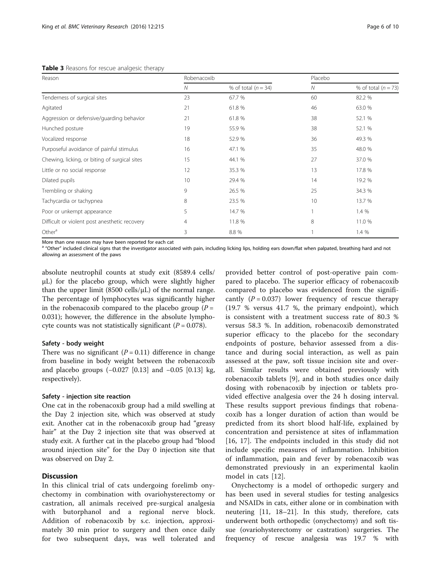<span id="page-5-0"></span>Table 3 Reasons for rescue analgesic therapy

| Reason                                        | Robenacoxib |                       | Placebo |                       |  |
|-----------------------------------------------|-------------|-----------------------|---------|-----------------------|--|
|                                               | N           | % of total $(n = 34)$ | N       | % of total $(n = 73)$ |  |
| Tenderness of surgical sites                  | 23          | 67.7 %                | 60      | 82.2 %                |  |
| Agitated                                      | 21          | 61.8 %                | 46      | 63.0 %                |  |
| Aggression or defensive/guarding behavior     | 21          | 61.8 %                | 38      | 52.1 %                |  |
| Hunched posture                               | 19          | 55.9 %                | 38      | 52.1 %                |  |
| Vocalized response                            | 18          | 52.9 %                | 36      | 49.3 %                |  |
| Purposeful avoidance of painful stimulus      | 16          | 47.1 %                | 35      | 48.0 %                |  |
| Chewing, licking, or biting of surgical sites | 15          | 44.1 %                | 27      | 37.0 %                |  |
| Little or no social response                  | 12          | 35.3 %                | 13      | 17.8 %                |  |
| Dilated pupils                                | 10          | 29.4 %                | 14      | 19.2 %                |  |
| Trembling or shaking                          | 9           | 26.5 %                | 25      | 34.3 %                |  |
| Tachycardia or tachypnea                      | 8           | 23.5 %                | 10      | 13.7 %                |  |
| Poor or unkempt appearance                    | 5           | 14.7 %                |         | 1.4 %                 |  |
| Difficult or violent post anesthetic recovery | 4           | 11.8 %                | 8       | 11.0 %                |  |
| Other <sup>a</sup>                            | 3           | 8.8 %                 |         | 1.4 %                 |  |

More than one reason may have been reported for each cat

<sup>a</sup> "Other" included clinical signs that the investigator associated with pain, including licking lips, holding ears down/flat when palpated, breathing hard and not allowing an assessment of the paws

absolute neutrophil counts at study exit (8589.4 cells/ μL) for the placebo group, which were slightly higher than the upper limit (8500 cells/ $\mu$ L) of the normal range. The percentage of lymphocytes was significantly higher in the robenacoxib compared to the placebo group  $(P =$ 0.031); however, the difference in the absolute lymphocyte counts was not statistically significant ( $P = 0.078$ ).

### Safety - body weight

There was no significant  $(P = 0.11)$  difference in change from baseline in body weight between the robenacoxib and placebo groups (−0.027 [0.13] and −0.05 [0.13] kg, respectively).

### Safety - injection site reaction

One cat in the robenacoxib group had a mild swelling at the Day 2 injection site, which was observed at study exit. Another cat in the robenacoxib group had "greasy hair" at the Day 2 injection site that was observed at study exit. A further cat in the placebo group had "blood around injection site" for the Day 0 injection site that was observed on Day 2.

## Discussion

In this clinical trial of cats undergoing forelimb onychectomy in combination with ovariohysterectomy or castration, all animals received pre-surgical analgesia with butorphanol and a regional nerve block. Addition of robenacoxib by s.c. injection, approximately 30 min prior to surgery and then once daily for two subsequent days, was well tolerated and

provided better control of post-operative pain compared to placebo. The superior efficacy of robenacoxib compared to placebo was evidenced from the significantly  $(P = 0.037)$  lower frequency of rescue therapy (19.7 % versus 41.7 %, the primary endpoint), which is consistent with a treatment success rate of 80.3 % versus 58.3 %. In addition, robenacoxib demonstrated superior efficacy to the placebo for the secondary endpoints of posture, behavior assessed from a distance and during social interaction, as well as pain assessed at the paw, soft tissue incision site and overall. Similar results were obtained previously with robenacoxib tablets [\[9](#page-9-0)], and in both studies once daily dosing with robenacoxib by injection or tablets provided effective analgesia over the 24 h dosing interval. These results support previous findings that robenacoxib has a longer duration of action than would be predicted from its short blood half-life, explained by concentration and persistence at sites of inflammation [[16, 17](#page-9-0)]. The endpoints included in this study did not include specific measures of inflammation. Inhibition of inflammation, pain and fever by robenacoxib was demonstrated previously in an experimental kaolin model in cats [[12](#page-9-0)].

Onychectomy is a model of orthopedic surgery and has been used in several studies for testing analgesics and NSAIDs in cats, either alone or in combination with neutering [[11](#page-9-0), [18](#page-9-0)–[21\]](#page-9-0). In this study, therefore, cats underwent both orthopedic (onychectomy) and soft tissue (ovariohysterectomy or castration) surgeries. The frequency of rescue analgesia was 19.7 % with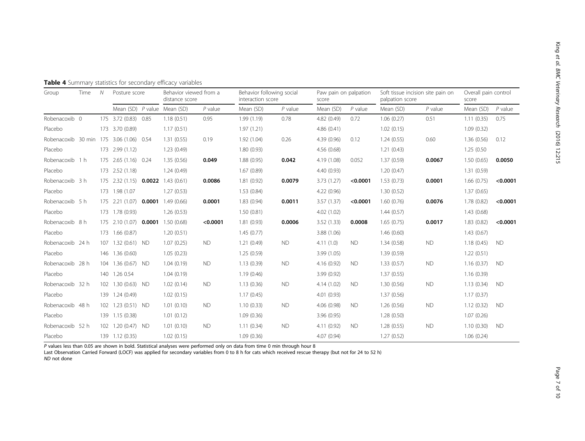King

et al. BMC Veterinary Research

(2016) 12:215

<span id="page-6-0"></span>

|  |  |  |  | Table 4 Summary statistics for secondary efficacy variables |  |  |
|--|--|--|--|-------------------------------------------------------------|--|--|
|--|--|--|--|-------------------------------------------------------------|--|--|

| Group                                   | Time | $\mathcal N$ | Posture score          |           | Behavior viewed from a<br>distance score |           | Behavior following social<br>interaction score |           | Paw pain on palpation<br>score |           | Soft tissue incision site pain on<br>palpation score |           | Overall pain control<br>score |           |
|-----------------------------------------|------|--------------|------------------------|-----------|------------------------------------------|-----------|------------------------------------------------|-----------|--------------------------------|-----------|------------------------------------------------------|-----------|-------------------------------|-----------|
|                                         |      |              |                        |           | Mean (SD) P value Mean (SD)              | $P$ value | Mean (SD)                                      | $P$ value | Mean (SD)                      | $P$ value | Mean (SD)                                            | $P$ value | Mean (SD)                     | $P$ value |
| Robenacoxib 0                           |      |              | 175 3.72 (0.83) 0.85   |           | 1.18(0.51)                               | 0.95      | 1.99(1.19)                                     | 0.78      | 4.82 (0.49)                    | 0.72      | 1.06(0.27)                                           | 0.51      | 1.11(0.35)                    | 0.75      |
| Placebo                                 |      |              | 173 3.70 (0.89)        |           | 1.17(0.51)                               |           | 1.97(1.21)                                     |           | 4.86(0.41)                     |           | 1.02(0.15)                                           |           | 1.09(0.32)                    |           |
| Robenacoxib 30 min 175 3.06 (1.06) 0.54 |      |              |                        |           | 1.31(0.55)                               | 0.19      | 1.92(1.04)                                     | 0.26      | 4.39 (0.96)                    | 0.12      | 1.24(0.55)                                           | 0.60      | 1.36(0.56)                    | 0.12      |
| Placebo                                 |      |              | 173 2.99 (1.12)        |           | 1.23(0.49)                               |           | 1.80(0.93)                                     |           | 4.56(0.68)                     |           | 1.21(0.43)                                           |           | 1.25 (0.50)                   |           |
| Robenacoxib 1 h                         |      | 175          | 2.65 (1.16) 0.24       |           | 1.35(0.56)                               | 0.049     | 1.88(0.95)                                     | 0.042     | 4.19 (1.08)                    | 0.052     | 1.37(0.59)                                           | 0.0067    | 1.50(0.65)                    | 0.0050    |
| Placebo                                 |      | 173          | 2.52(1.18)             |           | 1.24(0.49)                               |           | 1.67(0.89)                                     |           | 4.40(0.93)                     |           | 1.20(0.47)                                           |           | 1.31(0.59)                    |           |
| Robenacoxib 3 h                         |      | 175          | 2.32(1.15)             | 0.0022    | 1.43(0.61)                               | 0.0086    | 1.81(0.92)                                     | 0.0079    | 3.73(1.27)                     | < 0.0001  | 1.53(0.73)                                           | 0.0001    | 1.66(0.75)                    | < 0.0001  |
| Placebo                                 |      |              | 173 1.98 (1.07         |           | 1.27(0.53)                               |           | 1.53(0.84)                                     |           | 4.22 (0.96)                    |           | 1.30(0.52)                                           |           | 1.37(0.65)                    |           |
| Robenacoxib 5 h                         |      |              | 175 2.21 (1.07) 0.0001 |           | 1.49(0.66)                               | 0.0001    | 1.83(0.94)                                     | 0.0011    | 3.57(1.37)                     | < 0.0001  | 1.60(0.76)                                           | 0.0076    | 1.78(0.82)                    | < 0.0001  |
| Placebo                                 |      |              | 173 1.78 (0.93)        |           | 1.26(0.53)                               |           | 1.50(0.81)                                     |           | 4.02 (1.02)                    |           | 1.44(0.57)                                           |           | 1.43(0.68)                    |           |
| Robenacoxib 8 h                         |      | 175          | 2.10 (1.07) 0.0001     |           | 1.50(0.68)                               | < 0.0001  | 1.81(0.93)                                     | 0.0006    | 3.52(1.33)                     | 0.0008    | 1.65(0.75)                                           | 0.0017    | 1.83(0.82)                    | < 0.0001  |
| Placebo                                 |      | 173          | 1.66(0.87)             |           | 1.20(0.51)                               |           | 1.45(0.77)                                     |           | 3.88 (1.06)                    |           | 1.46(0.60)                                           |           | 1.43(0.67)                    |           |
| Robenacoxib 24 h                        |      | 107          | $1.32(0.61)$ ND        |           | 1.07(0.25)                               | <b>ND</b> | 1.21(0.49)                                     | <b>ND</b> | 4.11(1.0)                      | <b>ND</b> | 1.34(0.58)                                           | <b>ND</b> | 1.18(0.45)                    | <b>ND</b> |
| Placebo                                 |      | 146          | 1.36(0.60)             |           | 1.05(0.23)                               |           | 1.25(0.59)                                     |           | 3.99(1.05)                     |           | 1.39(0.59)                                           |           | 1.22(0.51)                    |           |
| Robenacoxib 28 h                        |      |              | 104 1.36 (0.67) ND     |           | 1.04(0.19)                               | <b>ND</b> | 1.13(0.39)                                     | <b>ND</b> | 4.16 (0.92)                    | <b>ND</b> | 1.33(0.57)                                           | <b>ND</b> | 1.16(0.37)                    | <b>ND</b> |
| Placebo                                 |      |              | 140 1.26 0.54          |           | 1.04(0.19)                               |           | 1.19(0.46)                                     |           | 3.99(0.92)                     |           | 1.37(0.55)                                           |           | 1.16(0.39)                    |           |
| Robenacoxib 32 h                        |      |              | 102 1.30 (0.63) ND     |           | 1.02(0.14)                               | <b>ND</b> | 1.13(0.36)                                     | <b>ND</b> | 4.14 (1.02)                    | <b>ND</b> | 1.30(0.56)                                           | <b>ND</b> | 1.13(0.34)                    | <b>ND</b> |
| Placebo                                 |      |              | 139 1.24 (0.49)        |           | 1.02(0.15)                               |           | 1.17(0.45)                                     |           | 4.01(0.93)                     |           | 1.37(0.56)                                           |           | 1.17(0.37)                    |           |
| Robenacoxib 48 h                        |      |              | 102 1.23 (0.51) ND     |           | 1.01(0.10)                               | <b>ND</b> | 1.10(0.33)                                     | <b>ND</b> | 4.06(0.98)                     | <b>ND</b> | 1.26(0.56)                                           | <b>ND</b> | 1.12(0.32)                    | <b>ND</b> |
| Placebo                                 |      |              | 139 1.15 (0.38)        |           | 1.01(0.12)                               |           | 1.09(0.36)                                     |           | 3.96(0.95)                     |           | 1.28(0.50)                                           |           | 1.07(0.26)                    |           |
| Robenacoxib 52 h                        |      | 102          | 1.20(0.47)             | <b>ND</b> | 1.01(0.10)                               | <b>ND</b> | 1.11(0.34)                                     | <b>ND</b> | 4.11 (0.92)                    | <b>ND</b> | 1.28(0.55)                                           | <b>ND</b> | 1.10(0.30)                    | <b>ND</b> |
| Placebo                                 |      |              | 139 1.12 (0.35)        |           | 1.02(0.15)                               |           | 1.09(0.36)                                     |           | 4.07(0.94)                     |           | 1.27(0.52)                                           |           | 1.06(0.24)                    |           |

P values less than 0.05 are shown in bold. Statistical analyses were performed only on data from time 0 min through hour 8

Last Observation Carried Forward (LOCF) was applied for secondary variables from 0 to 8 h for cats which received rescue therapy (but not for 24 to 52 h) ND not done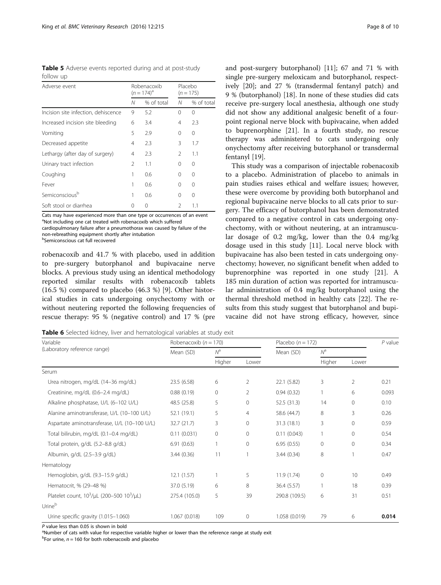<span id="page-7-0"></span>Table 5 Adverse events reported during and at post-study follow up

| Adverse event                       |                | Robenacoxib<br>$(n = 174)^{a}$ | Placebo<br>$(n = 175)$ |            |  |
|-------------------------------------|----------------|--------------------------------|------------------------|------------|--|
|                                     | N              | % of total                     | N                      | % of total |  |
| Incision site infection, dehiscence | 9              | 5.2                            | 0                      | 0          |  |
| Increased incision site bleeding    | 6              | 3.4                            | 4                      | 2.3        |  |
| Vomiting                            | 5              | 2.9                            | 0                      | 0          |  |
| Decreased appetite                  | 4              | 2.3                            | 3                      | 1.7        |  |
| Lethargy (after day of surgery)     | 4              | 2.3                            | $\mathfrak{D}$         | 1.1        |  |
| Urinary tract infection             | $\mathfrak{D}$ | 1.1                            | 0                      | $\Omega$   |  |
| Coughing                            | 1              | 0.6                            | 0                      | 0          |  |
| Fever                               | 1              | 0.6                            | 0                      | 0          |  |
| Semiconsciousb                      |                | 0.6                            | 0                      | 0          |  |
| Soft stool or diarrhea              | Ω              | 0                              | $\mathcal{P}$          | 1.1        |  |

Cats may have experienced more than one type or occurrences of an event <sup>a</sup>Not including one cat treated with robenacoxib which suffered cardiopulmonary failure after a pneumothorax was caused by failure of the

non-rebreathing equipment shortly after intubation

b Semiconscious cat full recovered

robenacoxib and 41.7 % with placebo, used in addition to pre-surgery butorphanol and bupivacaine nerve blocks. A previous study using an identical methodology reported similar results with robenacoxib tablets (16.5 %) compared to placebo (46.3 %) [[9\]](#page-9-0). Other historical studies in cats undergoing onychectomy with or without neutering reported the following frequencies of rescue therapy: 95 % (negative control) and 17 % (pre and post-surgery butorphanol) [[11\]](#page-9-0); 67 and 71 % with single pre-surgery meloxicam and butorphanol, respectively [\[20](#page-9-0)]; and 27 % (transdermal fentanyl patch) and 9 % (butorphanol) [[18\]](#page-9-0). In none of these studies did cats receive pre-surgery local anesthesia, although one study did not show any additional analgesic benefit of a fourpoint regional nerve block with bupivacaine, when added to buprenorphine [[21\]](#page-9-0). In a fourth study, no rescue therapy was administered to cats undergoing only onychectomy after receiving butorphanol or transdermal fentanyl [\[19](#page-9-0)].

This study was a comparison of injectable robenacoxib to a placebo. Administration of placebo to animals in pain studies raises ethical and welfare issues; however, these were overcome by providing both butorphanol and regional bupivacaine nerve blocks to all cats prior to surgery. The efficacy of butorphanol has been demonstrated compared to a negative control in cats undergoing onychectomy, with or without neutering, at an intramuscular dosage of 0.2 mg/kg, lower than the 0.4 mg/kg dosage used in this study [\[11\]](#page-9-0). Local nerve block with bupivacaine has also been tested in cats undergoing onychectomy; however, no significant benefit when added to buprenorphine was reported in one study [[21\]](#page-9-0). A 185 min duration of action was reported for intramuscular administration of 0.4 mg/kg butorphanol using the thermal threshold method in healthy cats [\[22](#page-9-0)]. The results from this study suggest that butorphanol and bupivacaine did not have strong efficacy, however, since

Table 6 Selected kidney, liver and hematological variables at study exit

| Variable                                            | Robenacoxib ( $n = 170$ ) |         |                | Placebo $(n = 172)$ |                 |                | $P$ value |
|-----------------------------------------------------|---------------------------|---------|----------------|---------------------|-----------------|----------------|-----------|
| (Laboratory reference range)                        | Mean (SD)                 | $N^a$   |                | Mean (SD)           | $N^a$           |                |           |
|                                                     |                           | Higher  | Lower          |                     | Higher<br>Lower |                |           |
| Serum                                               |                           |         |                |                     |                 |                |           |
| Urea nitrogen, mg/dL (14-36 mg/dL)                  | 23.5(6.58)                | 6       | $\overline{2}$ | 22.1(5.82)          | 3               | $\overline{2}$ | 0.21      |
| Creatinine, mg/dL (0.6-2.4 mg/dL)                   | 0.88(0.19)                | 0       | 2              | 0.94(0.32)          |                 | 6              | 0.093     |
| Alkaline phosphatase, U/L (6-102 U/L)               | 48.5 (25.8)               | 5       | 0              | 52.5 (31.3)         | 14              | $\mathbf{0}$   | 0.10      |
| Alanine aminotransferase, U/L (10-100 U/L)          | 52.1 (19.1)               | 5       | 4              | 58.6 (44.7)         | 8               | 3              | 0.26      |
| Aspartate aminotransferase, U/L (10-100 U/L)        | 32.7(21.7)                | 3       | 0              | 31.3 (18.1)         | 3               | $\mathbf{0}$   | 0.59      |
| Total bilirubin, mg/dL (0.1-0.4 mg/dL)              | 0.11(0.031)               | $\circ$ | $\Omega$       | 0.11(0.043)         |                 | $\Omega$       | 0.54      |
| Total protein, g/dL (5.2-8.8 g/dL)                  | 6.91(0.63)                | 1       | $\Omega$       | 6.95(0.55)          | $\Omega$        | $\Omega$       | 0.34      |
| Albumin, g/dL (2.5-3.9 g/dL)                        | 3.44(0.36)                | 11      |                | 3.44(0.34)          | 8               |                | 0.47      |
| Hematology                                          |                           |         |                |                     |                 |                |           |
| Hemoglobin, g/dL (9.3-15.9 g/dL)                    | 12.1(1.57)                |         | 5              | 11.9(1.74)          | $\mathbf{0}$    | 10             | 0.49      |
| Hematocrit, % (29-48 %)                             | 37.0 (5.19)               | 6       | 8              | 36.4 (5.57)         |                 | 18             | 0.39      |
| Platelet count, $10^3/\mu$ L (200-500 $10^3/\mu$ L) | 275.4 (105.0)             | 5       | 39             | 290.8 (109.5)       | 6               | 31             | 0.51      |
| Urine <sup>b</sup>                                  |                           |         |                |                     |                 |                |           |
| Urine specific gravity (1.015-1.060)                | 1.067 (0.018)             | 109     | 0              | 1.058 (0.019)       | 79              | 6              | 0.014     |

 $P$  value less than 0.05 is shown in bold

<sup>a</sup>Number of cats with value for respective variable higher or lower than the reference range at study exit

 $b$ For urine,  $n = 160$  for both robenacoxib and placebo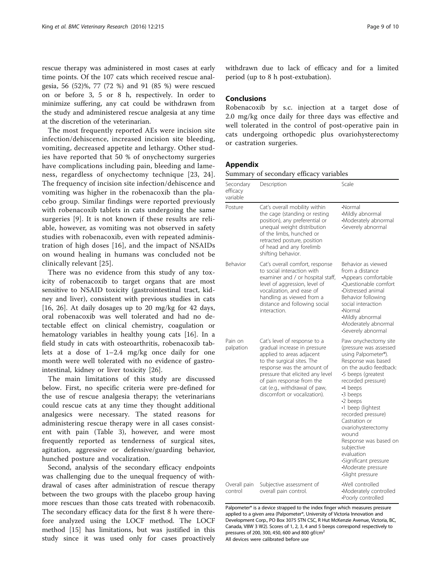<span id="page-8-0"></span>rescue therapy was administered in most cases at early time points. Of the 107 cats which received rescue analgesia, 56 (52)%, 77 (72 %) and 91 (85 %) were rescued on or before 3, 5 or 8 h, respectively. In order to minimize suffering, any cat could be withdrawn from the study and administered rescue analgesia at any time at the discretion of the veterinarian.

The most frequently reported AEs were incision site infection/dehiscence, increased incision site bleeding, vomiting, decreased appetite and lethargy. Other studies have reported that 50 % of onychectomy surgeries have complications including pain, bleeding and lameness, regardless of onychectomy technique [[23](#page-9-0), [24](#page-9-0)]. The frequency of incision site infection/dehiscence and vomiting was higher in the robenacoxib than the placebo group. Similar findings were reported previously with robenacoxib tablets in cats undergoing the same surgeries [[9](#page-9-0)]. It is not known if these results are reliable, however, as vomiting was not observed in safety studies with robenacoxib, even with repeated administration of high doses [[16\]](#page-9-0), and the impact of NSAIDs on wound healing in humans was concluded not be clinically relevant [[25](#page-9-0)].

There was no evidence from this study of any toxicity of robenacoxib to target organs that are most sensitive to NSAID toxicity (gastrointestinal tract, kidney and liver), consistent with previous studies in cats [[16, 26\]](#page-9-0). At daily dosages up to 20 mg/kg for 42 days, oral robenacoxib was well tolerated and had no detectable effect on clinical chemistry, coagulation or hematology variables in healthy young cats [\[16](#page-9-0)]. In a field study in cats with osteoarthritis, robenacoxib tablets at a dose of 1–2.4 mg/kg once daily for one month were well tolerated with no evidence of gastrointestinal, kidney or liver toxicity [\[26](#page-9-0)].

The main limitations of this study are discussed below. First, no specific criteria were pre-defined for the use of rescue analgesia therapy; the veterinarians could rescue cats at any time they thought additional analgesics were necessary. The stated reasons for administering rescue therapy were in all cases consistent with pain (Table [3](#page-5-0)), however, and were most frequently reported as tenderness of surgical sites, agitation, aggressive or defensive/guarding behavior, hunched posture and vocalization.

Second, analysis of the secondary efficacy endpoints was challenging due to the unequal frequency of withdrawal of cases after administration of rescue therapy between the two groups with the placebo group having more rescues than those cats treated with robenacoxib. The secondary efficacy data for the first 8 h were therefore analyzed using the LOCF method. The LOCF method [[15](#page-9-0)] has limitations, but was justified in this study since it was used only for cases proactively withdrawn due to lack of efficacy and for a limited period (up to 8 h post-extubation).

## Conclusions

Robenacoxib by s.c. injection at a target dose of 2.0 mg/kg once daily for three days was effective and well tolerated in the control of post-operative pain in cats undergoing orthopedic plus ovariohysterectomy or castration surgeries.

## Appendix

Summary of secondary efficacy variables

| Secondary<br>efficacy<br>variable | Description                                                                                                                                                                                                                                                                             | Scale                                                                                                                                                                                                                                                                                                                                                                                                                           |
|-----------------------------------|-----------------------------------------------------------------------------------------------------------------------------------------------------------------------------------------------------------------------------------------------------------------------------------------|---------------------------------------------------------------------------------------------------------------------------------------------------------------------------------------------------------------------------------------------------------------------------------------------------------------------------------------------------------------------------------------------------------------------------------|
| Posture                           | Cat's overall mobility within<br>the cage (standing or resting<br>position), any preferential or<br>unequal weight distribution<br>of the limbs, hunched or<br>retracted posture, position<br>of head and any forelimb<br>shifting behavior.                                            | •Normal<br>·Mildly abnormal<br>•Moderately abnormal<br>•Severely abnormal                                                                                                                                                                                                                                                                                                                                                       |
| Behavior                          | Cat's overall comfort, response<br>to social interaction with<br>examiner and / or hospital staff,<br>level of aggression, level of<br>vocalization, and ease of<br>handling as viewed from a<br>distance and following social<br>interaction.                                          | Behavior as viewed<br>from a distance<br>Appears comfortable<br>·Questionable comfort<br>•Distressed animal<br>Behavior following<br>social interaction<br>•Normal<br>•Mildly abnormal<br>•Moderately abnormal<br>Severely abnormal                                                                                                                                                                                             |
| Pain on<br>palpation              | Cat's level of response to a<br>gradual increase in pressure<br>applied to areas adjacent<br>to the surgical sites. The<br>response was the amount of<br>pressure that elicited any level<br>of pain response from the<br>cat (e.g., withdrawal of paw,<br>discomfort or vocalization). | Paw onychectomy site<br>(pressure was assessed<br>using Palpometer®).<br>Response was based<br>on the audio feedback:<br>•5 beeps (greatest<br>recorded pressure)<br>•4 beeps<br>-3 beeps<br>$\cdot$ 2 beeps<br>·1 beep (lightest<br>recorded pressure)<br>Castration or<br>ovariohysterectomy<br>wound<br>Response was based on<br>subjective<br>evaluation<br>·Significant pressure<br>·Moderate pressure<br>·Slight pressure |
| Overall pain<br>control           | Subjective assessment of<br>overall pain control.                                                                                                                                                                                                                                       | Well controlled<br>•Moderately controlled<br>·Poorly controlled                                                                                                                                                                                                                                                                                                                                                                 |

Palpometer® is a device strapped to the index finger which measures pressure applied to a given area (Palpometer®, University of Victoria Innovation and Development Corp., PO Box 3075 STN CSC, R Hut McKenzie Avenue, Victoria, BC, Canada, V8W 3 W2). Scores of 1, 2, 3, 4 and 5 beeps correspond respectively to pressures of 200, 300, 450, 600 and 800  $af/cm^2$ 

All devices were calibrated before use